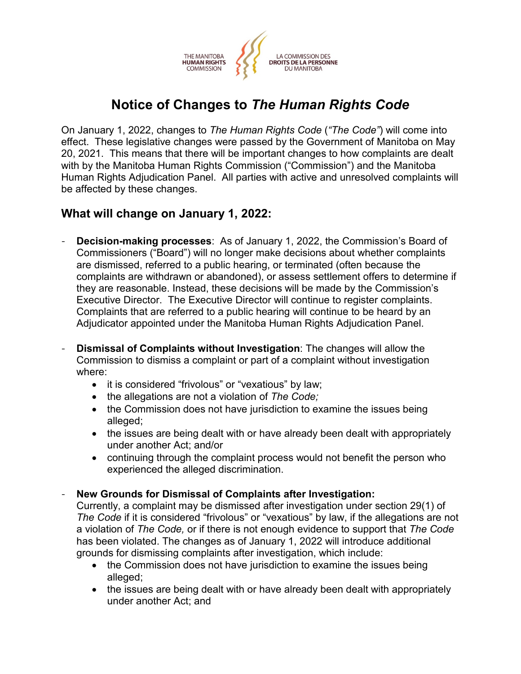

# **Notice of Changes to** *The Human Rights Code*

On January 1, 2022, changes to *The Human Rights Code* (*"The Code"*) will come into effect. These legislative changes were passed by the Government of Manitoba on May 20, 2021. This means that there will be important changes to how complaints are dealt with by the Manitoba Human Rights Commission ("Commission") and the Manitoba Human Rights Adjudication Panel. All parties with active and unresolved complaints will be affected by these changes.

# **What will change on January 1, 2022:**

- **Decision-making processes**: As of January 1, 2022, the Commission's Board of Commissioners ("Board") will no longer make decisions about whether complaints are dismissed, referred to a public hearing, or terminated (often because the complaints are withdrawn or abandoned), or assess settlement offers to determine if they are reasonable. Instead, these decisions will be made by the Commission's Executive Director. The Executive Director will continue to register complaints. Complaints that are referred to a public hearing will continue to be heard by an Adjudicator appointed under the Manitoba Human Rights Adjudication Panel.
- **Dismissal of Complaints without Investigation**: The changes will allow the Commission to dismiss a complaint or part of a complaint without investigation where:
	- it is considered "frivolous" or "vexatious" by law;
	- the allegations are not a violation of *The Code;*
	- the Commission does not have jurisdiction to examine the issues being alleged;
	- the issues are being dealt with or have already been dealt with appropriately under another Act; and/or
	- continuing through the complaint process would not benefit the person who experienced the alleged discrimination.
- **New Grounds for Dismissal of Complaints after Investigation:**

Currently, a complaint may be dismissed after investigation under section 29(1) of *The Code* if it is considered "frivolous" or "vexatious" by law, if the allegations are not a violation of *The Code,* or if there is not enough evidence to support that *The Code*  has been violated. The changes as of January 1, 2022 will introduce additional grounds for dismissing complaints after investigation, which include:

- the Commission does not have jurisdiction to examine the issues being alleged;
- the issues are being dealt with or have already been dealt with appropriately under another Act; and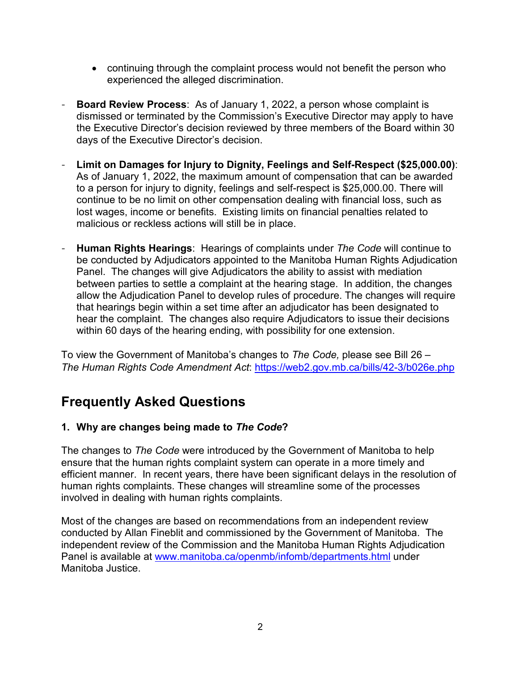- continuing through the complaint process would not benefit the person who experienced the alleged discrimination.
- **Board Review Process**: As of January 1, 2022, a person whose complaint is dismissed or terminated by the Commission's Executive Director may apply to have the Executive Director's decision reviewed by three members of the Board within 30 days of the Executive Director's decision.
- **Limit on Damages for Injury to Dignity, Feelings and Self-Respect (\$25,000.00)**: As of January 1, 2022, the maximum amount of compensation that can be awarded to a person for injury to dignity, feelings and self-respect is \$25,000.00. There will continue to be no limit on other compensation dealing with financial loss, such as lost wages, income or benefits. Existing limits on financial penalties related to malicious or reckless actions will still be in place.
- **Human Rights Hearings**: Hearings of complaints under *The Code* will continue to be conducted by Adjudicators appointed to the Manitoba Human Rights Adjudication Panel. The changes will give Adjudicators the ability to assist with mediation between parties to settle a complaint at the hearing stage. In addition, the changes allow the Adjudication Panel to develop rules of procedure. The changes will require that hearings begin within a set time after an adjudicator has been designated to hear the complaint. The changes also require Adjudicators to issue their decisions within 60 days of the hearing ending, with possibility for one extension.

To view the Government of Manitoba's changes to *The Code,* please see Bill 26 – *The Human Rights Code Amendment Act*:<https://web2.gov.mb.ca/bills/42-3/b026e.php>

# **Frequently Asked Questions**

## **1. Why are changes being made to** *The Code***?**

The changes to *The Code* were introduced by the Government of Manitoba to help ensure that the human rights complaint system can operate in a more timely and efficient manner. In recent years, there have been significant delays in the resolution of human rights complaints. These changes will streamline some of the processes involved in dealing with human rights complaints.

Most of the changes are based on recommendations from an independent review conducted by Allan Fineblit and commissioned by the Government of Manitoba. The independent review of the Commission and the Manitoba Human Rights Adjudication Panel is available at [www.manitoba.ca/openmb/infomb/departments.html](https://www.manitoba.ca/openmb/infomb/departments.html) under Manitoba Justice.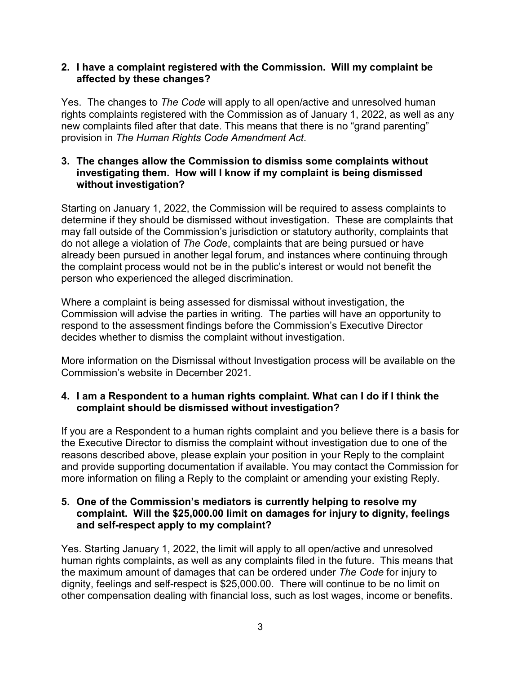#### **2. I have a complaint registered with the Commission. Will my complaint be affected by these changes?**

Yes. The changes to *The Code* will apply to all open/active and unresolved human rights complaints registered with the Commission as of January 1, 2022, as well as any new complaints filed after that date. This means that there is no "grand parenting" provision in *The Human Rights Code Amendment Act*.

#### **3. The changes allow the Commission to dismiss some complaints without investigating them. How will I know if my complaint is being dismissed without investigation?**

Starting on January 1, 2022, the Commission will be required to assess complaints to determine if they should be dismissed without investigation. These are complaints that may fall outside of the Commission's jurisdiction or statutory authority, complaints that do not allege a violation of *The Code*, complaints that are being pursued or have already been pursued in another legal forum, and instances where continuing through the complaint process would not be in the public's interest or would not benefit the person who experienced the alleged discrimination.

Where a complaint is being assessed for dismissal without investigation, the Commission will advise the parties in writing. The parties will have an opportunity to respond to the assessment findings before the Commission's Executive Director decides whether to dismiss the complaint without investigation.

More information on the Dismissal without Investigation process will be available on the Commission's website in December 2021.

## **4. I am a Respondent to a human rights complaint. What can I do if I think the complaint should be dismissed without investigation?**

If you are a Respondent to a human rights complaint and you believe there is a basis for the Executive Director to dismiss the complaint without investigation due to one of the reasons described above, please explain your position in your Reply to the complaint and provide supporting documentation if available. You may contact the Commission for more information on filing a Reply to the complaint or amending your existing Reply.

#### **5. One of the Commission's mediators is currently helping to resolve my complaint. Will the \$25,000.00 limit on damages for injury to dignity, feelings and self-respect apply to my complaint?**

Yes. Starting January 1, 2022, the limit will apply to all open/active and unresolved human rights complaints, as well as any complaints filed in the future. This means that the maximum amount of damages that can be ordered under *The Code* for injury to dignity, feelings and self-respect is \$25,000.00. There will continue to be no limit on other compensation dealing with financial loss, such as lost wages, income or benefits.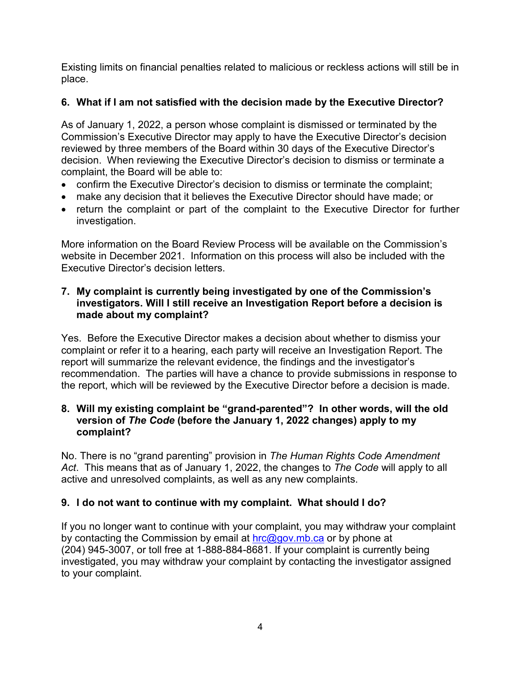Existing limits on financial penalties related to malicious or reckless actions will still be in place.

## **6. What if I am not satisfied with the decision made by the Executive Director?**

As of January 1, 2022, a person whose complaint is dismissed or terminated by the Commission's Executive Director may apply to have the Executive Director's decision reviewed by three members of the Board within 30 days of the Executive Director's decision. When reviewing the Executive Director's decision to dismiss or terminate a complaint, the Board will be able to:

- confirm the Executive Director's decision to dismiss or terminate the complaint;
- make any decision that it believes the Executive Director should have made; or
- return the complaint or part of the complaint to the Executive Director for further investigation.

More information on the Board Review Process will be available on the Commission's website in December 2021. Information on this process will also be included with the Executive Director's decision letters.

## **7. My complaint is currently being investigated by one of the Commission's investigators. Will I still receive an Investigation Report before a decision is made about my complaint?**

Yes. Before the Executive Director makes a decision about whether to dismiss your complaint or refer it to a hearing, each party will receive an Investigation Report. The report will summarize the relevant evidence, the findings and the investigator's recommendation. The parties will have a chance to provide submissions in response to the report, which will be reviewed by the Executive Director before a decision is made.

## **8. Will my existing complaint be "grand-parented"? In other words, will the old version of** *The Code* **(before the January 1, 2022 changes) apply to my complaint?**

No. There is no "grand parenting" provision in *The Human Rights Code Amendment Act*. This means that as of January 1, 2022, the changes to *The Code* will apply to all active and unresolved complaints, as well as any new complaints.

## **9. I do not want to continue with my complaint. What should I do?**

If you no longer want to continue with your complaint, you may withdraw your complaint by contacting the Commission by email at  $\frac{hc}{a}$ gov.mb.ca or by phone at (204) 945-3007, or toll free at 1-888-884-8681. If your complaint is currently being investigated, you may withdraw your complaint by contacting the investigator assigned to your complaint.